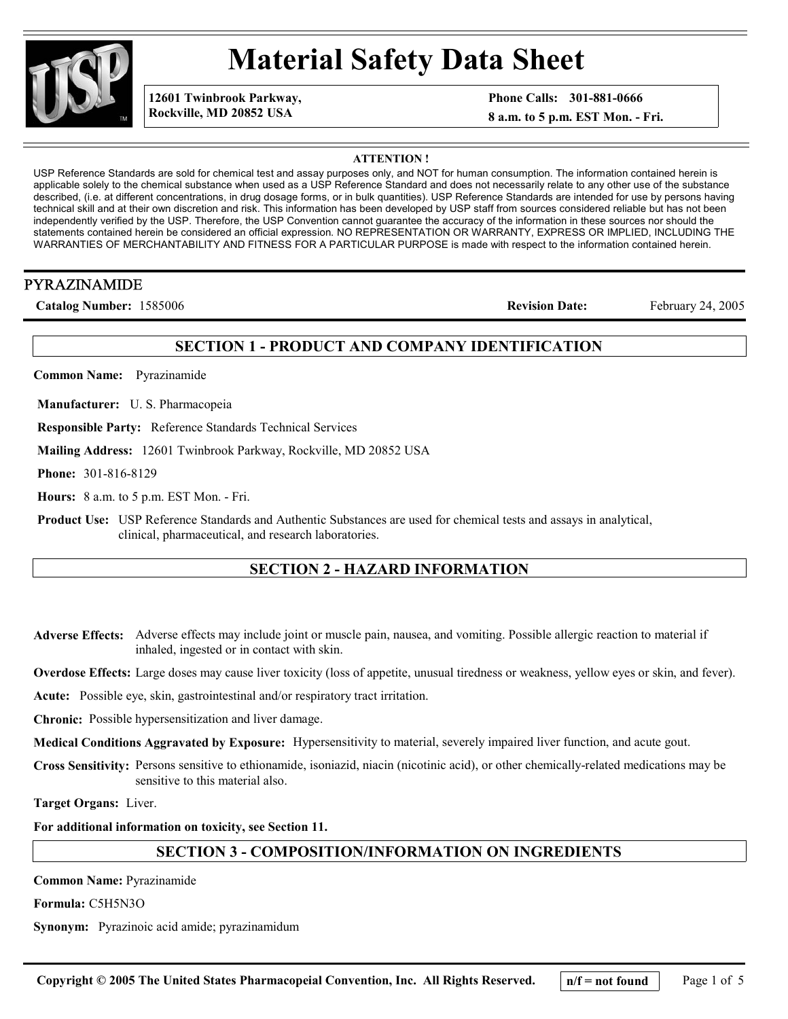

# **Material Safety Data Sheet**

**12601 Twinbrook Parkway, Rockville, MD 20852 USA**

**Phone Calls: 301-881-0666**

**8 a.m. to 5 p.m. EST Mon. - Fri.**

**ATTENTION !**

USP Reference Standards are sold for chemical test and assay purposes only, and NOT for human consumption. The information contained herein is applicable solely to the chemical substance when used as a USP Reference Standard and does not necessarily relate to any other use of the substance described, (i.e. at different concentrations, in drug dosage forms, or in bulk quantities). USP Reference Standards are intended for use by persons having technical skill and at their own discretion and risk. This information has been developed by USP staff from sources considered reliable but has not been independently verified by the USP. Therefore, the USP Convention cannot guarantee the accuracy of the information in these sources nor should the statements contained herein be considered an official expression. NO REPRESENTATION OR WARRANTY, EXPRESS OR IMPLIED, INCLUDING THE WARRANTIES OF MERCHANTABILITY AND FITNESS FOR A PARTICULAR PURPOSE is made with respect to the information contained herein.

# PYRAZINAMIDE

**Catalog Number:** 1585006 **Revision Date:** February 24, 2005

# **SECTION 1 - PRODUCT AND COMPANY IDENTIFICATION**

**Common Name:** Pyrazinamide

**Manufacturer:** U. S. Pharmacopeia

**Responsible Party:** Reference Standards Technical Services

**Mailing Address:** 12601 Twinbrook Parkway, Rockville, MD 20852 USA

**Phone:** 301-816-8129

**Hours:** 8 a.m. to 5 p.m. EST Mon. - Fri.

**Product Use:** USP Reference Standards and Authentic Substances are used for chemical tests and assays in analytical, clinical, pharmaceutical, and research laboratories.

# **SECTION 2 - HAZARD INFORMATION**

**Adverse Effects:** Adverse effects may include joint or muscle pain, nausea, and vomiting. Possible allergic reaction to material if inhaled, ingested or in contact with skin.

**Overdose Effects:** Large doses may cause liver toxicity (loss of appetite, unusual tiredness or weakness, yellow eyes or skin, and fever).

**Acute:** Possible eye, skin, gastrointestinal and/or respiratory tract irritation.

**Chronic:** Possible hypersensitization and liver damage.

**Medical Conditions Aggravated by Exposure:** Hypersensitivity to material, severely impaired liver function, and acute gout.

**Cross Sensitivity:** Persons sensitive to ethionamide, isoniazid, niacin (nicotinic acid), or other chemically-related medications may be sensitive to this material also.

**Target Organs:** Liver.

**For additional information on toxicity, see Section 11.**

# **SECTION 3 - COMPOSITION/INFORMATION ON INGREDIENTS**

**Common Name:** Pyrazinamide

**Formula:** C5H5N3O

**Synonym:** Pyrazinoic acid amide; pyrazinamidum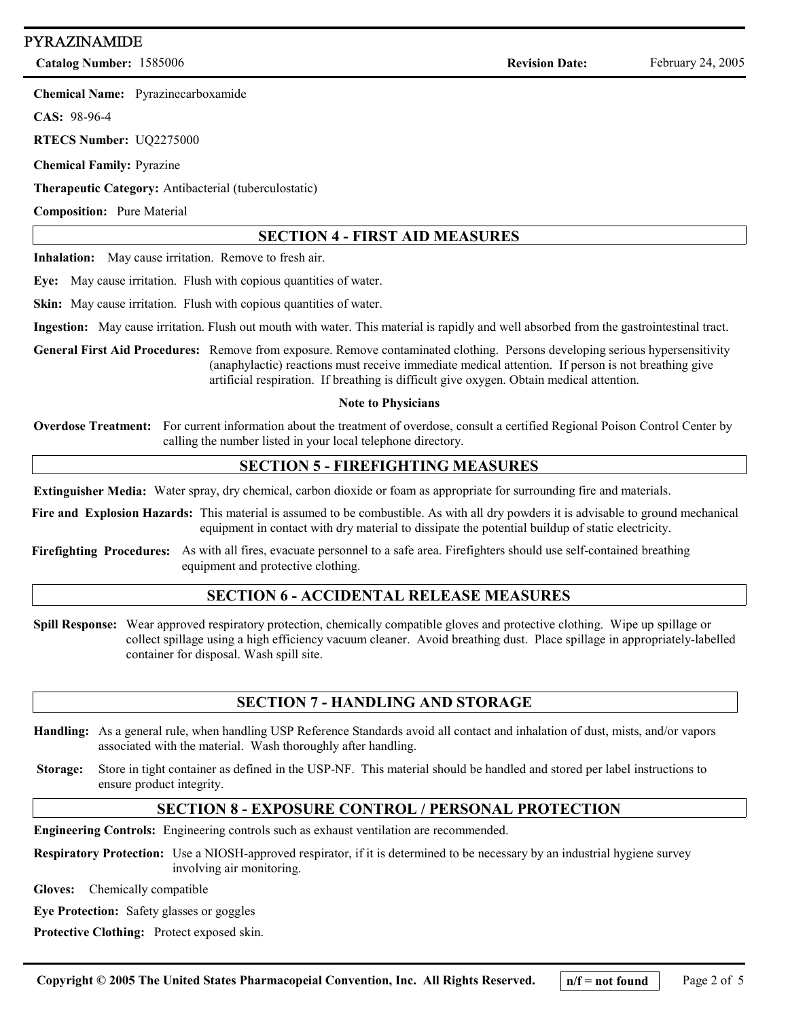# PYRAZINAMIDE

**Catalog Number:** 1585006 **Revision Date:** February 24, 2005

**Chemical Name:** Pyrazinecarboxamide

**CAS:** 98-96-4

**RTECS Number:** UQ2275000

**Chemical Family:** Pyrazine

**Therapeutic Category:** Antibacterial (tuberculostatic)

**Composition:** Pure Material

# **SECTION 4 - FIRST AID MEASURES**

**Inhalation:** May cause irritation. Remove to fresh air.

**Eye:** May cause irritation. Flush with copious quantities of water.

**Skin:** May cause irritation. Flush with copious quantities of water.

**Ingestion:** May cause irritation. Flush out mouth with water. This material is rapidly and well absorbed from the gastrointestinal tract.

**General First Aid Procedures:** Remove from exposure. Remove contaminated clothing. Persons developing serious hypersensitivity (anaphylactic) reactions must receive immediate medical attention. If person is not breathing give artificial respiration. If breathing is difficult give oxygen. Obtain medical attention.

#### **Note to Physicians**

**Overdose Treatment:** For current information about the treatment of overdose, consult a certified Regional Poison Control Center by calling the number listed in your local telephone directory.

#### **SECTION 5 - FIREFIGHTING MEASURES**

**Extinguisher Media:** Water spray, dry chemical, carbon dioxide or foam as appropriate for surrounding fire and materials.

 **Fire and Explosion Hazards:** This material is assumed to be combustible. As with all dry powders it is advisable to ground mechanical equipment in contact with dry material to dissipate the potential buildup of static electricity.

 **Firefighting Procedures:** As with all fires, evacuate personnel to a safe area. Firefighters should use self-contained breathing equipment and protective clothing.

# **SECTION 6 - ACCIDENTAL RELEASE MEASURES**

**Spill Response:** Wear approved respiratory protection, chemically compatible gloves and protective clothing. Wipe up spillage or collect spillage using a high efficiency vacuum cleaner. Avoid breathing dust. Place spillage in appropriately-labelled container for disposal. Wash spill site.

# **SECTION 7 - HANDLING AND STORAGE**

- **Handling:** As a general rule, when handling USP Reference Standards avoid all contact and inhalation of dust, mists, and/or vapors associated with the material. Wash thoroughly after handling.
- **Storage:** Store in tight container as defined in the USP-NF. This material should be handled and stored per label instructions to ensure product integrity.

# **SECTION 8 - EXPOSURE CONTROL / PERSONAL PROTECTION**

**Engineering Controls:** Engineering controls such as exhaust ventilation are recommended.

**Respiratory Protection:** Use a NIOSH-approved respirator, if it is determined to be necessary by an industrial hygiene survey involving air monitoring.

**Gloves:** Chemically compatible

**Eye Protection:** Safety glasses or goggles

**Protective Clothing:** Protect exposed skin.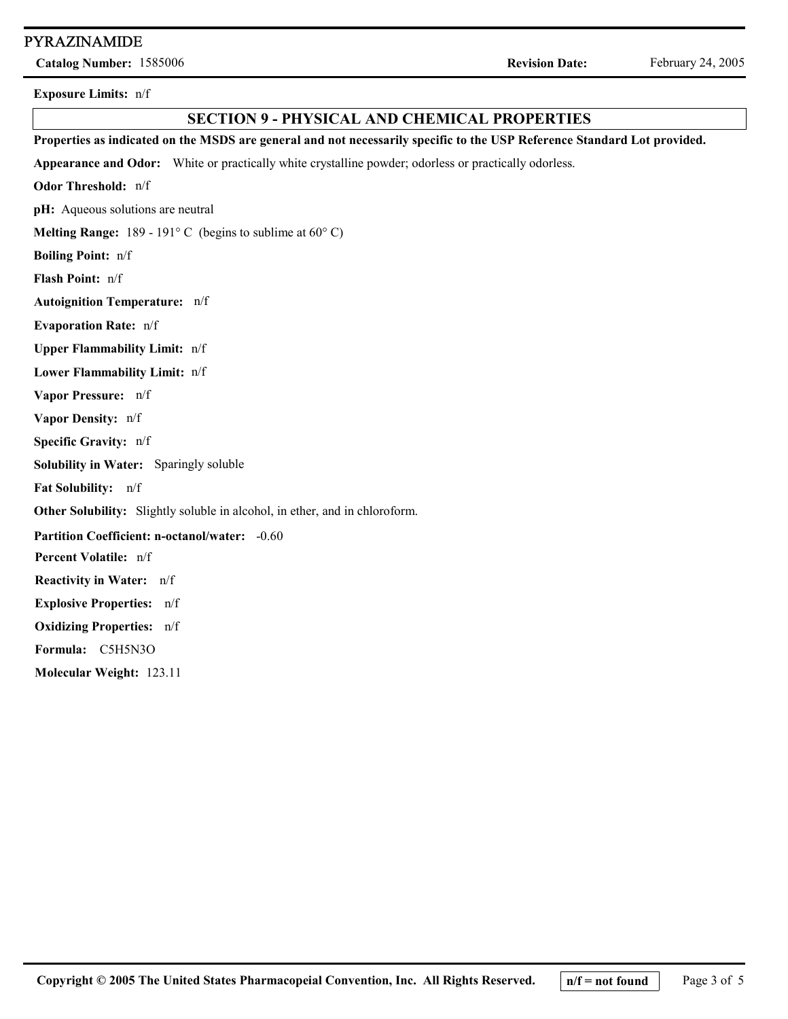#### PYRAZINAMIDE

**Catalog Number:** 1585006 **Revision Date:** February 24, 2005

**Exposure Limits:** n/f

#### **SECTION 9 - PHYSICAL AND CHEMICAL PROPERTIES**

**Melting Range:** 189 - 191° C (begins to sublime at 60° C) **Boiling Point:** n/f **Specific Gravity:** n/f **Vapor Pressure:** n/f **Percent Volatile:** n/f **Vapor Density:** n/f **Solubility in Water:** Sparingly soluble **Appearance and Odor:** White or practically white crystalline powder; odorless or practically odorless. **Evaporation Rate:** n/f **Reactivity in Water:** n/f **Properties as indicated on the MSDS are general and not necessarily specific to the USP Reference Standard Lot provided. Odor Threshold:** n/f **pH:** Aqueous solutions are neutral **Flash Point:** n/f **Upper Flammability Limit:** n/f **Lower Flammability Limit:** n/f **Fat Solubility:** n/f **Other Solubility:** Slightly soluble in alcohol, in ether, and in chloroform. **Partition Coefficient: n-octanol/water:** -0.60 **Explosive Properties:** n/f **Oxidizing Properties:** n/f **Molecular Weight:** 123.11 **Formula:** C5H5N3O **Autoignition Temperature:** n/f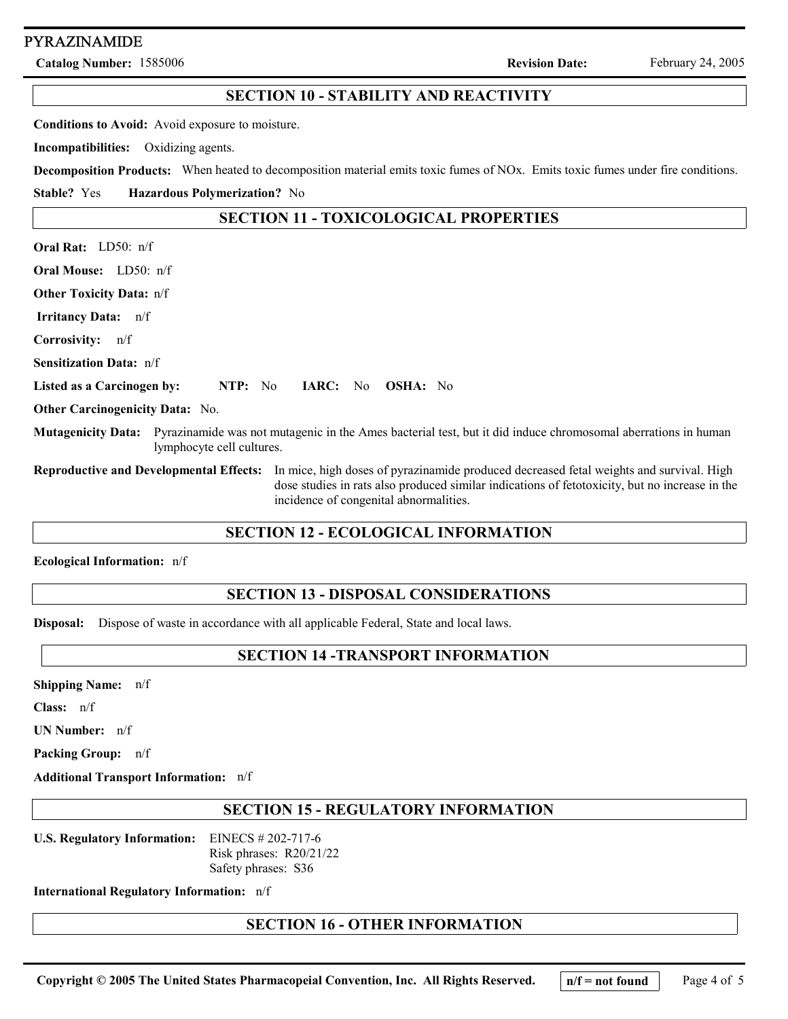#### PYRAZINAMIDE

**Catalog Number:** 1585006 **Revision Date:** February 24, 2005

# **Oral Rat:** LD50: n/f **Oral Mouse:** LD50: n/f **Listed as a Carcinogen by: NTP:** No **IARC:** No **OSHA:** No  **Irritancy Data:** n/f **SECTION 11 - TOXICOLOGICAL PROPERTIES Other Toxicity Data:** n/f **Corrosivity:** n/f **Sensitization Data:** n/f **Other Carcinogenicity Data:** No. **Mutagenicity Data:** Pyrazinamide was not mutagenic in the Ames bacterial test, but it did induce chromosomal aberrations in human lymphocyte cell cultures. **Reproductive and Developmental Effects:** In mice, high doses of pyrazinamide produced decreased fetal weights and survival. High dose studies in rats also produced similar indications of fetotoxicity, but no increase in the incidence of congenital abnormalities. **Stable?** Yes **Conditions to Avoid:** Avoid exposure to moisture. **Incompatibilities:** Oxidizing agents. **Decomposition Products:** When heated to decomposition material emits toxic fumes of NOx. Emits toxic fumes under fire conditions. **Hazardous Polymerization?** No **SECTION 10 - STABILITY AND REACTIVITY**

#### **SECTION 12 - ECOLOGICAL INFORMATION**

**Ecological Information:** n/f

# **SECTION 13 - DISPOSAL CONSIDERATIONS**

**Disposal:** Dispose of waste in accordance with all applicable Federal, State and local laws.

#### **SECTION 14 -TRANSPORT INFORMATION**

**Shipping Name:** n/f

**Class:** n/f

**UN Number:** n/f

**Packing Group:** n/f

**Additional Transport Information:** n/f

#### **SECTION 15 - REGULATORY INFORMATION**

**U.S. Regulatory Information:** EINECS # 202-717-6 Risk phrases: R20/21/22 Safety phrases: S36

**International Regulatory Information:** n/f

#### **SECTION 16 - OTHER INFORMATION**